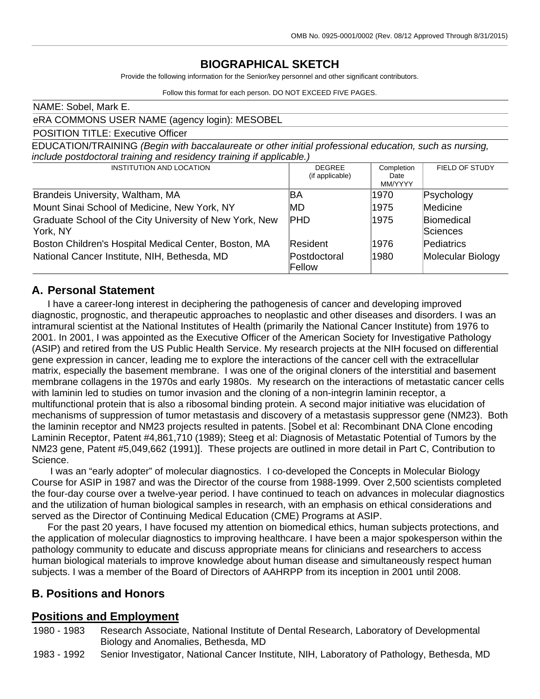### **BIOGRAPHICAL SKETCH**

Provide the following information for the Senior/key personnel and other significant contributors.

Follow this format for each person. DO NOT EXCEED FIVE PAGES.

| NAME: Sobel, Mark E.                                                                                                                                                           |                                  |                               |                               |  |  |
|--------------------------------------------------------------------------------------------------------------------------------------------------------------------------------|----------------------------------|-------------------------------|-------------------------------|--|--|
| eRA COMMONS USER NAME (agency login): MESOBEL                                                                                                                                  |                                  |                               |                               |  |  |
| <b>POSITION TITLE: Executive Officer</b>                                                                                                                                       |                                  |                               |                               |  |  |
| EDUCATION/TRAINING (Begin with baccalaureate or other initial professional education, such as nursing,<br>include postdoctoral training and residency training if applicable.) |                                  |                               |                               |  |  |
| INSTITUTION AND LOCATION                                                                                                                                                       | <b>DEGREE</b><br>(if applicable) | Completion<br>Date<br>MM/YYYY | FIELD OF STUDY                |  |  |
| Brandeis University, Waltham, MA                                                                                                                                               | ßА                               | 1970                          | Psychology                    |  |  |
| Mount Sinai School of Medicine, New York, NY                                                                                                                                   | IMD                              | 1975                          | Medicine                      |  |  |
| Graduate School of the City University of New York, New<br>York, NY                                                                                                            | <b>PHD</b>                       | 1975                          | <b>Biomedical</b><br>Sciences |  |  |
| Boston Children's Hospital Medical Center, Boston, MA                                                                                                                          | Resident                         | 1976                          | Pediatrics                    |  |  |
| National Cancer Institute, NIH, Bethesda, MD                                                                                                                                   | lPostdoctoral<br>Fellow          | 1980                          | Molecular Biology             |  |  |

### **A. Personal Statement**

I have a career-long interest in deciphering the pathogenesis of cancer and developing improved diagnostic, prognostic, and therapeutic approaches to neoplastic and other diseases and disorders. I was an intramural scientist at the National Institutes of Health (primarily the National Cancer Institute) from 1976 to 2001. In 2001, I was appointed as the Executive Officer of the American Society for Investigative Pathology (ASIP) and retired from the US Public Health Service. My research projects at the NIH focused on differential gene expression in cancer, leading me to explore the interactions of the cancer cell with the extracellular matrix, especially the basement membrane. I was one of the original cloners of the interstitial and basement membrane collagens in the 1970s and early 1980s. My research on the interactions of metastatic cancer cells with laminin led to studies on tumor invasion and the cloning of a non-integrin laminin receptor, a multifunctional protein that is also a ribosomal binding protein. A second major initiative was elucidation of mechanisms of suppression of tumor metastasis and discovery of a metastasis suppressor gene (NM23). Both the laminin receptor and NM23 projects resulted in patents. [Sobel et al: Recombinant DNA Clone encoding Laminin Receptor, Patent #4,861,710 (1989); Steeg et al: Diagnosis of Metastatic Potential of Tumors by the NM23 gene, Patent #5,049,662 (1991)]. These projects are outlined in more detail in Part C, Contribution to Science.

I was an "early adopter" of molecular diagnostics. I co-developed the Concepts in Molecular Biology Course for ASIP in 1987 and was the Director of the course from 1988-1999. Over 2,500 scientists completed the four-day course over a twelve-year period. I have continued to teach on advances in molecular diagnostics and the utilization of human biological samples in research, with an emphasis on ethical considerations and served as the Director of Continuing Medical Education (CME) Programs at ASIP.

For the past 20 years, I have focused my attention on biomedical ethics, human subjects protections, and the application of molecular diagnostics to improving healthcare. I have been a major spokesperson within the pathology community to educate and discuss appropriate means for clinicians and researchers to access human biological materials to improve knowledge about human disease and simultaneously respect human subjects. I was a member of the Board of Directors of AAHRPP from its inception in 2001 until 2008.

### **B. Positions and Honors**

### **Positions and Employment**

1980 - 1983 Research Associate, National Institute of Dental Research, Laboratory of Developmental Biology and Anomalies, Bethesda, MD

1983 - 1992 Senior Investigator, National Cancer Institute, NIH, Laboratory of Pathology, Bethesda, MD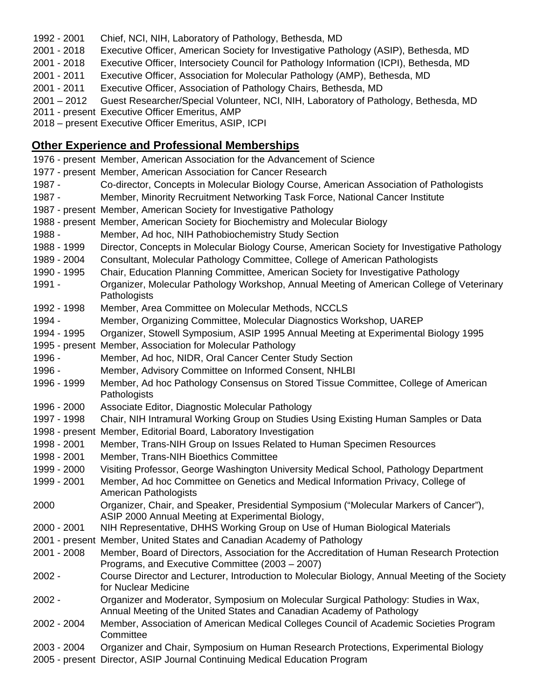- 2001 Chief, NCI, NIH, Laboratory of Pathology, Bethesda, MD
- 2018 Executive Officer, American Society for Investigative Pathology (ASIP), Bethesda, MD
- 2018 Executive Officer, Intersociety Council for Pathology Information (ICPI), Bethesda, MD
- 2011 Executive Officer, Association for Molecular Pathology (AMP), Bethesda, MD
- 2011 Executive Officer, Association of Pathology Chairs, Bethesda, MD
- 2012 Guest Researcher/Special Volunteer, NCI, NIH, Laboratory of Pathology, Bethesda, MD
- present Executive Officer Emeritus, AMP
- present Executive Officer Emeritus, ASIP, ICPI

### **Other Experience and Professional Memberships**

|                | 1976 - present Member, American Association for the Advancement of Science                                                                                   |
|----------------|--------------------------------------------------------------------------------------------------------------------------------------------------------------|
|                | 1977 - present Member, American Association for Cancer Research                                                                                              |
| 1987 -         | Co-director, Concepts in Molecular Biology Course, American Association of Pathologists                                                                      |
| 1987 -         | Member, Minority Recruitment Networking Task Force, National Cancer Institute                                                                                |
|                | 1987 - present Member, American Society for Investigative Pathology                                                                                          |
|                | 1988 - present Member, American Society for Biochemistry and Molecular Biology                                                                               |
| 1988 -         | Member, Ad hoc, NIH Pathobiochemistry Study Section                                                                                                          |
| 1988 - 1999    | Director, Concepts in Molecular Biology Course, American Society for Investigative Pathology                                                                 |
| 1989 - 2004    | Consultant, Molecular Pathology Committee, College of American Pathologists                                                                                  |
| 1990 - 1995    | Chair, Education Planning Committee, American Society for Investigative Pathology                                                                            |
| 1991 -         | Organizer, Molecular Pathology Workshop, Annual Meeting of American College of Veterinary<br>Pathologists                                                    |
| 1992 - 1998    | Member, Area Committee on Molecular Methods, NCCLS                                                                                                           |
| 1994 -         | Member, Organizing Committee, Molecular Diagnostics Workshop, UAREP                                                                                          |
| 1994 - 1995    | Organizer, Stowell Symposium, ASIP 1995 Annual Meeting at Experimental Biology 1995                                                                          |
|                | 1995 - present Member, Association for Molecular Pathology                                                                                                   |
| 1996 -         | Member, Ad hoc, NIDR, Oral Cancer Center Study Section                                                                                                       |
| 1996 -         | Member, Advisory Committee on Informed Consent, NHLBI                                                                                                        |
| 1996 - 1999    | Member, Ad hoc Pathology Consensus on Stored Tissue Committee, College of American<br>Pathologists                                                           |
| 1996 - 2000    | Associate Editor, Diagnostic Molecular Pathology                                                                                                             |
| 1997 - 1998    | Chair, NIH Intramural Working Group on Studies Using Existing Human Samples or Data                                                                          |
| 1998 - present | Member, Editorial Board, Laboratory Investigation                                                                                                            |
| 1998 - 2001    | Member, Trans-NIH Group on Issues Related to Human Specimen Resources                                                                                        |
| 1998 - 2001    | Member, Trans-NIH Bioethics Committee                                                                                                                        |
| 1999 - 2000    | Visiting Professor, George Washington University Medical School, Pathology Department                                                                        |
| 1999 - 2001    | Member, Ad hoc Committee on Genetics and Medical Information Privacy, College of<br>American Pathologists                                                    |
| 2000           | Organizer, Chair, and Speaker, Presidential Symposium ("Molecular Markers of Cancer"),<br>ASIP 2000 Annual Meeting at Experimental Biology,                  |
| 2000 - 2001    | NIH Representative, DHHS Working Group on Use of Human Biological Materials                                                                                  |
|                | 2001 - present Member, United States and Canadian Academy of Pathology                                                                                       |
| 2001 - 2008    | Member, Board of Directors, Association for the Accreditation of Human Research Protection<br>Programs, and Executive Committee (2003 - 2007)                |
| 2002 -         | Course Director and Lecturer, Introduction to Molecular Biology, Annual Meeting of the Society<br>for Nuclear Medicine                                       |
| $2002 -$       | Organizer and Moderator, Symposium on Molecular Surgical Pathology: Studies in Wax,<br>Annual Meeting of the United States and Canadian Academy of Pathology |
| 2002 - 2004    | Member, Association of American Medical Colleges Council of Academic Societies Program<br>Committee                                                          |
| 2003 - 2004    | Organizer and Chair, Symposium on Human Research Protections, Experimental Biology                                                                           |
|                | 2005 - present Director, ASIP Journal Continuing Medical Education Program                                                                                   |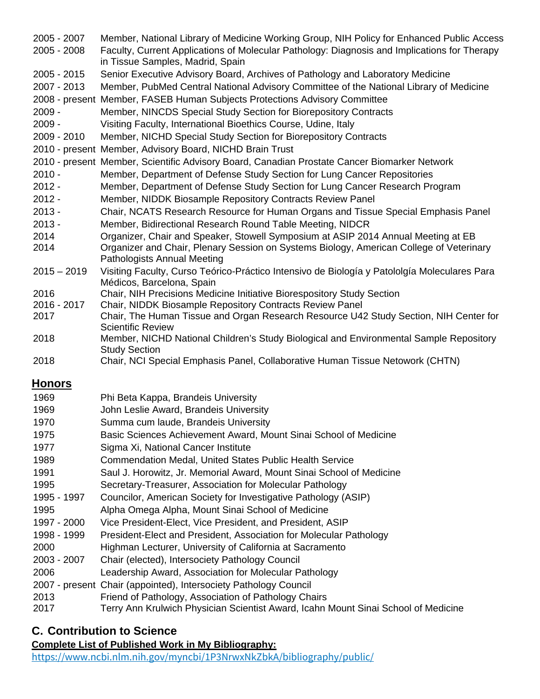| 2005 - 2007         | Member, National Library of Medicine Working Group, NIH Policy for Enhanced Public Access                                                         |
|---------------------|---------------------------------------------------------------------------------------------------------------------------------------------------|
| 2005 - 2008         | Faculty, Current Applications of Molecular Pathology: Diagnosis and Implications for Therapy<br>in Tissue Samples, Madrid, Spain                  |
| 2005 - 2015         | Senior Executive Advisory Board, Archives of Pathology and Laboratory Medicine                                                                    |
| 2007 - 2013         | Member, PubMed Central National Advisory Committee of the National Library of Medicine                                                            |
|                     | 2008 - present Member, FASEB Human Subjects Protections Advisory Committee                                                                        |
| $2009 -$            | Member, NINCDS Special Study Section for Biorepository Contracts                                                                                  |
| $2009 -$            | Visiting Faculty, International Bioethics Course, Udine, Italy                                                                                    |
| 2009 - 2010         | Member, NICHD Special Study Section for Biorepository Contracts                                                                                   |
|                     | 2010 - present Member, Advisory Board, NICHD Brain Trust                                                                                          |
|                     | 2010 - present Member, Scientific Advisory Board, Canadian Prostate Cancer Biomarker Network                                                      |
| $2010 -$            | Member, Department of Defense Study Section for Lung Cancer Repositories                                                                          |
| $2012 -$            | Member, Department of Defense Study Section for Lung Cancer Research Program                                                                      |
| $2012 -$            | Member, NIDDK Biosample Repository Contracts Review Panel                                                                                         |
| $2013 -$            | Chair, NCATS Research Resource for Human Organs and Tissue Special Emphasis Panel                                                                 |
| $2013 -$            | Member, Bidirectional Research Round Table Meeting, NIDCR                                                                                         |
| 2014                | Organizer, Chair and Speaker, Stowell Symposium at ASIP 2014 Annual Meeting at EB                                                                 |
| 2014                | Organizer and Chair, Plenary Session on Systems Biology, American College of Veterinary                                                           |
|                     | <b>Pathologists Annual Meeting</b>                                                                                                                |
| $2015 - 2019$       | Visiting Faculty, Curso Teórico-Práctico Intensivo de Biología y Patololgía Moleculares Para                                                      |
|                     | Médicos, Barcelona, Spain                                                                                                                         |
| 2016                | Chair, NIH Precisions Medicine Initiative Biorespository Study Section                                                                            |
| 2016 - 2017<br>2017 | Chair, NIDDK Biosample Repository Contracts Review Panel<br>Chair, The Human Tissue and Organ Research Resource U42 Study Section, NIH Center for |
|                     | <b>Scientific Review</b>                                                                                                                          |
| 2018                | Member, NICHD National Children's Study Biological and Environmental Sample Repository                                                            |
|                     | <b>Study Section</b>                                                                                                                              |
| 2018                | Chair, NCI Special Emphasis Panel, Collaborative Human Tissue Netowork (CHTN)                                                                     |
| <u>Honors</u>       |                                                                                                                                                   |
| 1969                | Phi Beta Kappa, Brandeis University                                                                                                               |
|                     |                                                                                                                                                   |
| 1969                | John Leslie Award, Brandeis University                                                                                                            |
| 1970                | Summa cum laude, Brandeis University                                                                                                              |
| 1975                | Basic Sciences Achievement Award, Mount Sinai School of Medicine                                                                                  |
| 1977                | Sigma Xi, National Cancer Institute                                                                                                               |
| 1989                | Commendation Medal, United States Public Health Service                                                                                           |

- Saul J. Horowitz, Jr. Memorial Award, Mount Sinai School of Medicine
- Secretary-Treasurer, Association for Molecular Pathology
- 1997 Councilor, American Society for Investigative Pathology (ASIP)
- Alpha Omega Alpha, Mount Sinai School of Medicine
- 2000 Vice President-Elect, Vice President, and President, ASIP
- 1999 President-Elect and President, Association for Molecular Pathology
- Highman Lecturer, University of California at Sacramento
- 2007 Chair (elected), Intersociety Pathology Council
- Leadership Award, Association for Molecular Pathology
- present Chair (appointed), Intersociety Pathology Council
- Friend of Pathology, Association of Pathology Chairs
- Terry Ann Krulwich Physician Scientist Award, Icahn Mount Sinai School of Medicine

## **C. Contribution to Science**

## **Complete List of Published Work in My Bibliography:**

<https://www.ncbi.nlm.nih.gov/myncbi/1P3NrwxNkZbkA/bibliography/public/>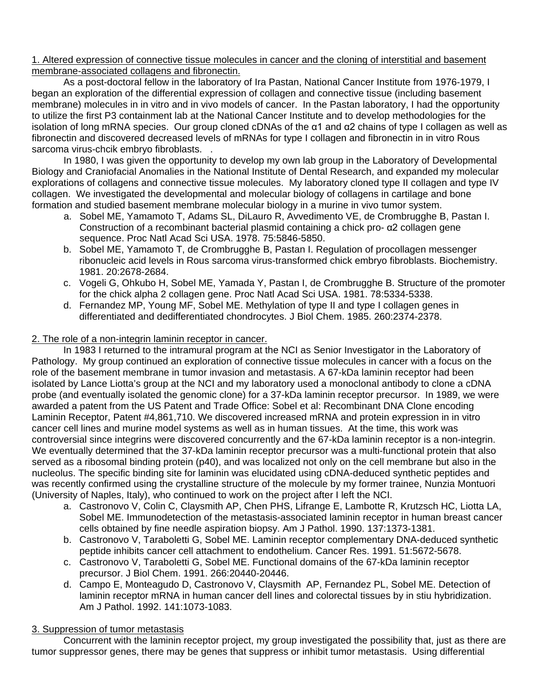1. Altered expression of connective tissue molecules in cancer and the cloning of interstitial and basement membrane-associated collagens and fibronectin.

As a post-doctoral fellow in the laboratory of Ira Pastan, National Cancer Institute from 1976-1979, I began an exploration of the differential expression of collagen and connective tissue (including basement membrane) molecules in in vitro and in vivo models of cancer. In the Pastan laboratory, I had the opportunity to utilize the first P3 containment lab at the National Cancer Institute and to develop methodologies for the isolation of long mRNA species. Our group cloned cDNAs of the α1 and α2 chains of type I collagen as well as fibronectin and discovered decreased levels of mRNAs for type I collagen and fibronectin in in vitro Rous sarcoma virus-chcik embryo fibroblasts. .

In 1980, I was given the opportunity to develop my own lab group in the Laboratory of Developmental Biology and Craniofacial Anomalies in the National Institute of Dental Research, and expanded my molecular explorations of collagens and connective tissue molecules. My laboratory cloned type II collagen and type IV collagen. We investigated the developmental and molecular biology of collagens in cartilage and bone formation and studied basement membrane molecular biology in a murine in vivo tumor system.

- a. Sobel ME, Yamamoto T, Adams SL, DiLauro R, Avvedimento VE, de Crombrugghe B, Pastan I. Construction of a recombinant bacterial plasmid containing a chick pro- α2 collagen gene sequence. Proc Natl Acad Sci USA. 1978. 75:5846-5850.
- b. Sobel ME, Yamamoto T, de Crombrugghe B, Pastan I. Regulation of procollagen messenger ribonucleic acid levels in Rous sarcoma virus-transformed chick embryo fibroblasts. Biochemistry. 1981. 20:2678-2684.
- c. Vogeli G, Ohkubo H, Sobel ME, Yamada Y, Pastan I, de Crombrugghe B. Structure of the promoter for the chick alpha 2 collagen gene. Proc Natl Acad Sci USA. 1981. 78:5334-5338.
- d. Fernandez MP, Young MF, Sobel ME. Methylation of type II and type I collagen genes in differentiated and dedifferentiated chondrocytes. J Biol Chem. 1985. 260:2374-2378.

#### 2. The role of a non-integrin laminin receptor in cancer.

In 1983 I returned to the intramural program at the NCI as Senior Investigator in the Laboratory of Pathology. My group continued an exploration of connective tissue molecules in cancer with a focus on the role of the basement membrane in tumor invasion and metastasis. A 67-kDa laminin receptor had been isolated by Lance Liotta's group at the NCI and my laboratory used a monoclonal antibody to clone a cDNA probe (and eventually isolated the genomic clone) for a 37-kDa laminin receptor precursor. In 1989, we were awarded a patent from the US Patent and Trade Office: Sobel et al: Recombinant DNA Clone encoding Laminin Receptor, Patent #4,861,710. We discovered increased mRNA and protein expression in in vitro cancer cell lines and murine model systems as well as in human tissues. At the time, this work was controversial since integrins were discovered concurrently and the 67-kDa laminin receptor is a non-integrin. We eventually determined that the 37-kDa laminin receptor precursor was a multi-functional protein that also served as a ribosomal binding protein (p40), and was localized not only on the cell membrane but also in the nucleolus. The specific binding site for laminin was elucidated using cDNA-deduced synthetic peptides and was recently confirmed using the crystalline structure of the molecule by my former trainee, Nunzia Montuori (University of Naples, Italy), who continued to work on the project after I left the NCI.

- a. Castronovo V, Colin C, Claysmith AP, Chen PHS, Lifrange E, Lambotte R, Krutzsch HC, Liotta LA, Sobel ME. Immunodetection of the metastasis-associated laminin receptor in human breast cancer cells obtained by fine needle aspiration biopsy. Am J Pathol. 1990. 137:1373-1381.
- b. Castronovo V, Taraboletti G, Sobel ME. Laminin receptor complementary DNA-deduced synthetic peptide inhibits cancer cell attachment to endothelium. Cancer Res. 1991. 51:5672-5678.
- c. Castronovo V, Taraboletti G, Sobel ME. Functional domains of the 67-kDa laminin receptor precursor. J Biol Chem. 1991. 266:20440-20446.
- d. Campo E, Monteagudo D, Castronovo V, Claysmith AP, Fernandez PL, Sobel ME. Detection of laminin receptor mRNA in human cancer dell lines and colorectal tissues by in stiu hybridization. Am J Pathol. 1992. 141:1073-1083.

### 3. Suppression of tumor metastasis

Concurrent with the laminin receptor project, my group investigated the possibility that, just as there are tumor suppressor genes, there may be genes that suppress or inhibit tumor metastasis. Using differential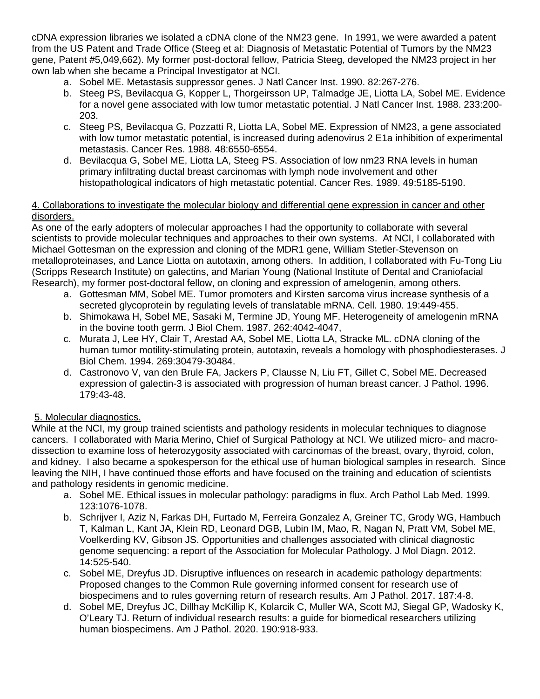cDNA expression libraries we isolated a cDNA clone of the NM23 gene. In 1991, we were awarded a patent from the US Patent and Trade Office (Steeg et al: Diagnosis of Metastatic Potential of Tumors by the NM23 gene, Patent #5,049,662). My former post-doctoral fellow, Patricia Steeg, developed the NM23 project in her own lab when she became a Principal Investigator at NCI.

- a. Sobel ME. Metastasis suppressor genes. J Natl Cancer Inst. 1990. 82:267-276.
- b. Steeg PS, Bevilacqua G, Kopper L, Thorgeirsson UP, Talmadge JE, Liotta LA, Sobel ME. Evidence for a novel gene associated with low tumor metastatic potential. J Natl Cancer Inst. 1988. 233:200- 203.
- c. Steeg PS, Bevilacqua G, Pozzatti R, Liotta LA, Sobel ME. Expression of NM23, a gene associated with low tumor metastatic potential, is increased during adenovirus 2 E1a inhibition of experimental metastasis. Cancer Res. 1988. 48:6550-6554.
- d. Bevilacqua G, Sobel ME, Liotta LA, Steeg PS. Association of low nm23 RNA levels in human primary infiltrating ductal breast carcinomas with lymph node involvement and other histopathological indicators of high metastatic potential. Cancer Res. 1989. 49:5185-5190.

#### 4. Collaborations to investigate the molecular biology and differential gene expression in cancer and other disorders.

As one of the early adopters of molecular approaches I had the opportunity to collaborate with several scientists to provide molecular techniques and approaches to their own systems. At NCI, I collaborated with Michael Gottesman on the expression and cloning of the MDR1 gene, William Stetler-Stevenson on metalloproteinases, and Lance Liotta on autotaxin, among others. In addition, I collaborated with Fu-Tong Liu (Scripps Research Institute) on galectins, and Marian Young (National Institute of Dental and Craniofacial Research), my former post-doctoral fellow, on cloning and expression of amelogenin, among others.

- a. Gottesman MM, Sobel ME. Tumor promoters and Kirsten sarcoma virus increase synthesis of a secreted glycoprotein by regulating levels of translatable mRNA. Cell. 1980. 19:449-455.
- b. Shimokawa H, Sobel ME, Sasaki M, Termine JD, Young MF. Heterogeneity of amelogenin mRNA in the bovine tooth germ. J Biol Chem. 1987. 262:4042-4047,
- c. Murata J, Lee HY, Clair T, Arestad AA, Sobel ME, Liotta LA, Stracke ML. cDNA cloning of the human tumor motility-stimulating protein, autotaxin, reveals a homology with phosphodiesterases. J Biol Chem. 1994. 269:30479-30484.
- d. Castronovo V, van den Brule FA, Jackers P, Clausse N, Liu FT, Gillet C, Sobel ME. Decreased expression of galectin-3 is associated with progression of human breast cancer. J Pathol. 1996. 179:43-48.

### 5. Molecular diagnostics.

While at the NCI, my group trained scientists and pathology residents in molecular techniques to diagnose cancers. I collaborated with Maria Merino, Chief of Surgical Pathology at NCI. We utilized micro- and macrodissection to examine loss of heterozygosity associated with carcinomas of the breast, ovary, thyroid, colon, and kidney. I also became a spokesperson for the ethical use of human biological samples in research. Since leaving the NIH, I have continued those efforts and have focused on the training and education of scientists and pathology residents in genomic medicine.

- a. Sobel ME. Ethical issues in molecular pathology: paradigms in flux. Arch Pathol Lab Med. 1999. 123:1076-1078.
- b. Schrijver I, Aziz N, Farkas DH, Furtado M, Ferreira Gonzalez A, Greiner TC, Grody WG, Hambuch T, Kalman L, Kant JA, Klein RD, Leonard DGB, Lubin IM, Mao, R, Nagan N, Pratt VM, Sobel ME, Voelkerding KV, Gibson JS. Opportunities and challenges associated with clinical diagnostic genome sequencing: a report of the Association for Molecular Pathology. J Mol Diagn. 2012. 14:525-540.
- c. Sobel ME, Dreyfus JD. Disruptive influences on research in academic pathology departments: Proposed changes to the Common Rule governing informed consent for research use of biospecimens and to rules governing return of research results. Am J Pathol. 2017. 187:4-8.
- d. Sobel ME, Dreyfus JC, Dillhay McKillip K, Kolarcik C, Muller WA, Scott MJ, Siegal GP, Wadosky K, O'Leary TJ. Return of individual research results: a guide for biomedical researchers utilizing human biospecimens. Am J Pathol. 2020. 190:918-933.